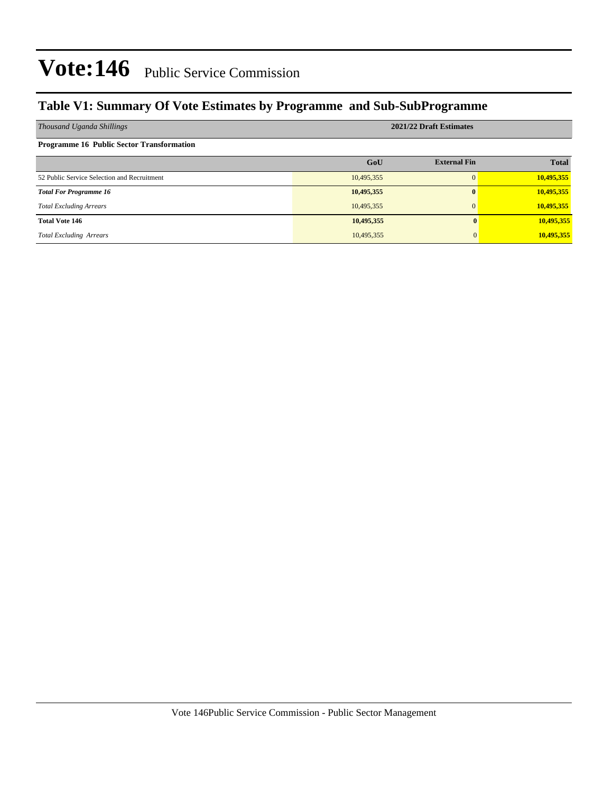### **Table V1: Summary Of Vote Estimates by Programme and Sub-SubProgramme**

| Thousand Uganda Shillings                        | 2021/22 Draft Estimates |                     |              |  |  |  |  |
|--------------------------------------------------|-------------------------|---------------------|--------------|--|--|--|--|
| <b>Programme 16 Public Sector Transformation</b> |                         |                     |              |  |  |  |  |
|                                                  | GoU                     | <b>External Fin</b> | <b>Total</b> |  |  |  |  |
| 52 Public Service Selection and Recruitment      | 10,495,355              | $\Omega$            | 10,495,355   |  |  |  |  |
| <b>Total For Programme 16</b>                    | 10,495,355              | $\bf{0}$            | 10,495,355   |  |  |  |  |
| <b>Total Excluding Arrears</b>                   | 10,495,355              | $\Omega$            | 10,495,355   |  |  |  |  |
| <b>Total Vote 146</b>                            | 10,495,355              |                     | 10,495,355   |  |  |  |  |
| <b>Total Excluding Arrears</b>                   | 10,495,355              |                     | 10,495,355   |  |  |  |  |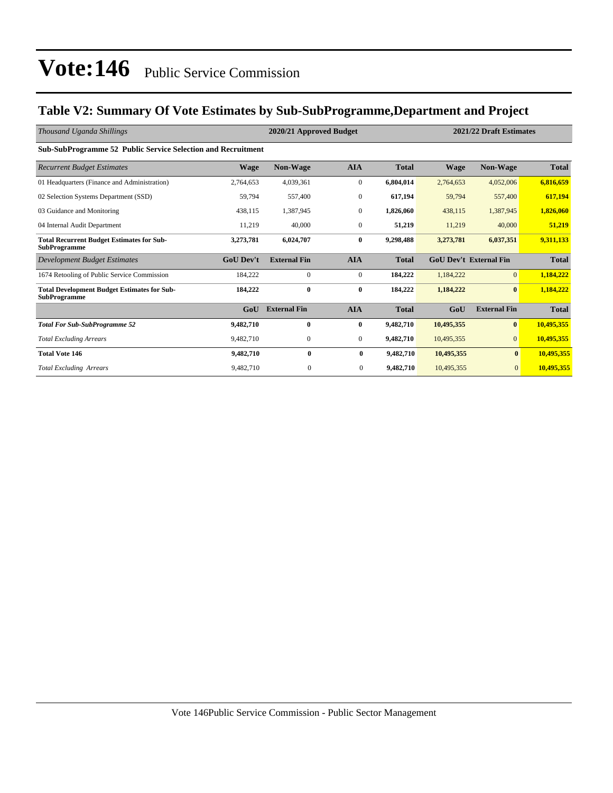### **Table V2: Summary Of Vote Estimates by Sub-SubProgramme,Department and Project**

| Thousand Uganda Shillings                                                 |                  | 2020/21 Approved Budget |                  |              |                               | 2021/22 Draft Estimates |              |
|---------------------------------------------------------------------------|------------------|-------------------------|------------------|--------------|-------------------------------|-------------------------|--------------|
| Sub-SubProgramme 52 Public Service Selection and Recruitment              |                  |                         |                  |              |                               |                         |              |
| <b>Recurrent Budget Estimates</b>                                         | <b>Wage</b>      | Non-Wage                | <b>AIA</b>       | <b>Total</b> | <b>Wage</b>                   | <b>Non-Wage</b>         | <b>Total</b> |
| 01 Headquarters (Finance and Administration)                              | 2,764,653        | 4,039,361               | $\boldsymbol{0}$ | 6,804,014    | 2,764,653                     | 4,052,006               | 6,816,659    |
| 02 Selection Systems Department (SSD)                                     | 59,794           | 557,400                 | $\mathbf{0}$     | 617,194      | 59,794                        | 557,400                 | 617,194      |
| 03 Guidance and Monitoring                                                | 438,115          | 1,387,945               | $\mathbf{0}$     | 1,826,060    | 438,115                       | 1,387,945               | 1,826,060    |
| 04 Internal Audit Department                                              | 11,219           | 40,000                  | $\mathbf{0}$     | 51,219       | 11,219                        | 40,000                  | 51,219       |
| <b>Total Recurrent Budget Estimates for Sub-</b><br><b>SubProgramme</b>   | 3,273,781        | 6,024,707               | $\bf{0}$         | 9,298,488    | 3,273,781                     | 6,037,351               | 9,311,133    |
| Development Budget Estimates                                              | <b>GoU</b> Dev't | <b>External Fin</b>     | <b>AIA</b>       | <b>Total</b> | <b>GoU Dev't External Fin</b> |                         | <b>Total</b> |
| 1674 Retooling of Public Service Commission                               | 184,222          | $\mathbf{0}$            | $\boldsymbol{0}$ | 184,222      | 1,184,222                     | $\Omega$                | 1,184,222    |
| <b>Total Development Budget Estimates for Sub-</b><br><b>SubProgramme</b> | 184,222          | $\bf{0}$                | $\bf{0}$         | 184,222      | 1,184,222                     | $\bf{0}$                | 1,184,222    |
|                                                                           | GoU              | <b>External Fin</b>     | <b>AIA</b>       | <b>Total</b> | GoU                           | <b>External Fin</b>     | <b>Total</b> |
| <b>Total For Sub-SubProgramme 52</b>                                      | 9,482,710        | $\bf{0}$                | $\bf{0}$         | 9,482,710    | 10,495,355                    | $\bf{0}$                | 10,495,355   |
| <b>Total Excluding Arrears</b>                                            | 9,482,710        | $\mathbf{0}$            | $\mathbf{0}$     | 9,482,710    | 10,495,355                    | $\overline{0}$          | 10,495,355   |
| <b>Total Vote 146</b>                                                     | 9,482,710        | $\bf{0}$                | $\bf{0}$         | 9,482,710    | 10,495,355                    | $\bf{0}$                | 10,495,355   |
| <b>Total Excluding Arrears</b>                                            | 9,482,710        | $\mathbf{0}$            | $\overline{0}$   | 9,482,710    | 10,495,355                    | $\overline{0}$          | 10,495,355   |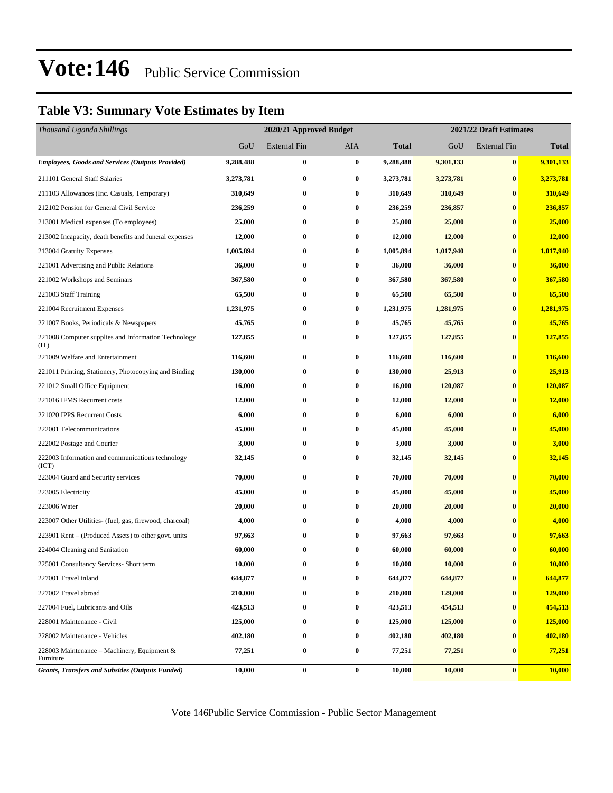### **Table V3: Summary Vote Estimates by Item**

| Thousand Uganda Shillings                                   |           | 2020/21 Approved Budget |                  |              | 2021/22 Draft Estimates |                     |              |  |
|-------------------------------------------------------------|-----------|-------------------------|------------------|--------------|-------------------------|---------------------|--------------|--|
|                                                             | GoU       | <b>External Fin</b>     | <b>AIA</b>       | <b>Total</b> | GoU                     | <b>External Fin</b> | <b>Total</b> |  |
| <b>Employees, Goods and Services (Outputs Provided)</b>     | 9,288,488 | $\bf{0}$                | $\bf{0}$         | 9,288,488    | 9,301,133               | $\bf{0}$            | 9,301,133    |  |
| 211101 General Staff Salaries                               | 3,273,781 | $\bf{0}$                | $\bf{0}$         | 3,273,781    | 3,273,781               | $\bf{0}$            | 3,273,781    |  |
| 211103 Allowances (Inc. Casuals, Temporary)                 | 310,649   | $\bf{0}$                | $\bf{0}$         | 310,649      | 310,649                 | $\bf{0}$            | 310,649      |  |
| 212102 Pension for General Civil Service                    | 236,259   | $\bf{0}$                | $\bf{0}$         | 236,259      | 236,857                 | $\bf{0}$            | 236,857      |  |
| 213001 Medical expenses (To employees)                      | 25,000    | $\bf{0}$                | 0                | 25,000       | 25,000                  | $\bf{0}$            | 25,000       |  |
| 213002 Incapacity, death benefits and funeral expenses      | 12,000    | $\bf{0}$                | $\bf{0}$         | 12,000       | 12,000                  | $\bf{0}$            | 12,000       |  |
| 213004 Gratuity Expenses                                    | 1,005,894 | $\bf{0}$                | 0                | 1,005,894    | 1,017,940               | $\bf{0}$            | 1,017,940    |  |
| 221001 Advertising and Public Relations                     | 36,000    | $\bf{0}$                | $\bf{0}$         | 36,000       | 36,000                  | $\bf{0}$            | 36,000       |  |
| 221002 Workshops and Seminars                               | 367,580   | $\bf{0}$                | $\bf{0}$         | 367,580      | 367,580                 | $\bf{0}$            | 367,580      |  |
| 221003 Staff Training                                       | 65,500    | $\bf{0}$                | $\bf{0}$         | 65,500       | 65,500                  | $\bf{0}$            | 65,500       |  |
| 221004 Recruitment Expenses                                 | 1,231,975 | $\bf{0}$                | $\bf{0}$         | 1,231,975    | 1,281,975               | $\bf{0}$            | 1,281,975    |  |
| 221007 Books, Periodicals & Newspapers                      | 45,765    | $\bf{0}$                | 0                | 45,765       | 45,765                  | $\bf{0}$            | 45,765       |  |
| 221008 Computer supplies and Information Technology<br>(TT) | 127,855   | $\bf{0}$                | $\boldsymbol{0}$ | 127,855      | 127,855                 | $\bf{0}$            | 127,855      |  |
| 221009 Welfare and Entertainment                            | 116,600   | $\bf{0}$                | $\bf{0}$         | 116,600      | 116,600                 | $\bf{0}$            | 116,600      |  |
| 221011 Printing, Stationery, Photocopying and Binding       | 130,000   | $\bf{0}$                | $\bf{0}$         | 130,000      | 25,913                  | $\bf{0}$            | 25,913       |  |
| 221012 Small Office Equipment                               | 16,000    | $\bf{0}$                | $\bf{0}$         | 16,000       | 120,087                 | $\bf{0}$            | 120,087      |  |
| 221016 IFMS Recurrent costs                                 | 12,000    | $\bf{0}$                | $\bf{0}$         | 12,000       | 12,000                  | $\bf{0}$            | 12,000       |  |
| 221020 IPPS Recurrent Costs                                 | 6,000     | $\bf{0}$                | 0                | 6,000        | 6,000                   | $\bf{0}$            | 6,000        |  |
| 222001 Telecommunications                                   | 45,000    | $\bf{0}$                | 0                | 45,000       | 45,000                  | $\bf{0}$            | 45,000       |  |
| 222002 Postage and Courier                                  | 3,000     | $\bf{0}$                | 0                | 3,000        | 3,000                   | $\bf{0}$            | 3,000        |  |
| 222003 Information and communications technology<br>(ICT)   | 32,145    | $\bf{0}$                | $\bf{0}$         | 32,145       | 32,145                  | $\bf{0}$            | 32,145       |  |
| 223004 Guard and Security services                          | 70,000    | $\bf{0}$                | $\bf{0}$         | 70,000       | 70,000                  | $\bf{0}$            | 70,000       |  |
| 223005 Electricity                                          | 45,000    | $\bf{0}$                | 0                | 45,000       | 45,000                  | $\bf{0}$            | 45,000       |  |
| 223006 Water                                                | 20,000    | $\bf{0}$                | $\bf{0}$         | 20,000       | 20,000                  | $\bf{0}$            | 20,000       |  |
| 223007 Other Utilities- (fuel, gas, firewood, charcoal)     | 4,000     | $\bf{0}$                | 0                | 4,000        | 4,000                   | $\bf{0}$            | 4,000        |  |
| 223901 Rent – (Produced Assets) to other govt. units        | 97,663    | $\bf{0}$                | 0                | 97,663       | 97,663                  | $\bf{0}$            | 97,663       |  |
| 224004 Cleaning and Sanitation                              | 60,000    | $\bf{0}$                | $\bf{0}$         | 60,000       | 60,000                  | $\bf{0}$            | 60,000       |  |
| 225001 Consultancy Services- Short term                     | 10,000    | $\bf{0}$                | $\bf{0}$         | 10,000       | 10,000                  | $\bf{0}$            | 10,000       |  |
| 227001 Travel inland                                        | 644,877   | $\bf{0}$                | $\bf{0}$         | 644,877      | 644,877                 | $\bf{0}$            | 644,877      |  |
| 227002 Travel abroad                                        | 210,000   | $\bf{0}$                | $\bf{0}$         | 210,000      | 129,000                 | $\bf{0}$            | 129,000      |  |
| 227004 Fuel, Lubricants and Oils                            | 423,513   | $\bf{0}$                | $\bf{0}$         | 423,513      | 454,513                 | $\bf{0}$            | 454,513      |  |
| 228001 Maintenance - Civil                                  | 125,000   | $\bf{0}$                | $\bf{0}$         | 125,000      | 125,000                 | $\bf{0}$            | 125,000      |  |
| 228002 Maintenance - Vehicles                               | 402,180   | $\bf{0}$                | $\bf{0}$         | 402,180      | 402,180                 | $\bf{0}$            | 402,180      |  |
| 228003 Maintenance – Machinery, Equipment &<br>Furniture    | 77,251    | $\bf{0}$                | $\bf{0}$         | 77,251       | 77,251                  | $\bf{0}$            | 77,251       |  |
| <b>Grants, Transfers and Subsides (Outputs Funded)</b>      | 10,000    | $\bf{0}$                | $\bf{0}$         | 10,000       | 10,000                  | $\bf{0}$            | 10,000       |  |

Vote 146Public Service Commission - Public Sector Management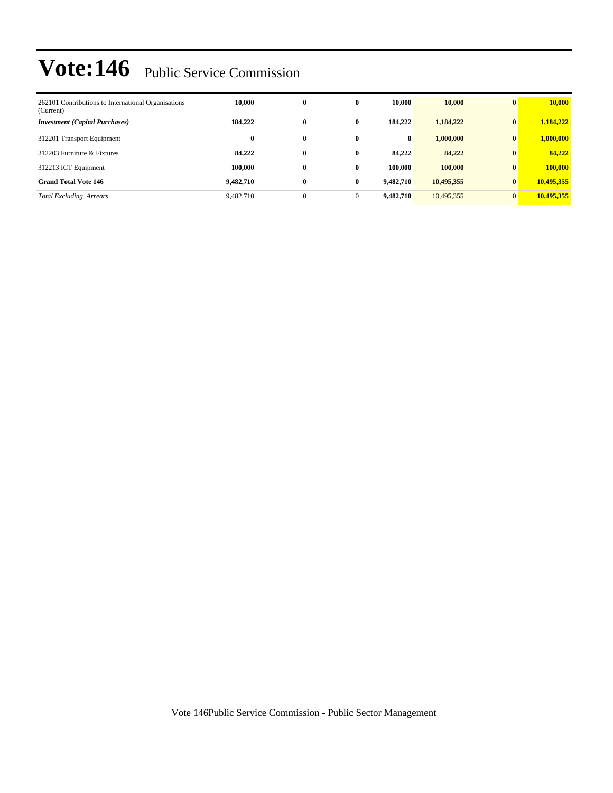| 262101 Contributions to International Organisations<br>(Current) | 10.000    | $\bf{0}$     | $\bf{0}$     | 10.000    | 10,000     | $\mathbf{0}$   | 10,000     |
|------------------------------------------------------------------|-----------|--------------|--------------|-----------|------------|----------------|------------|
| <b>Investment</b> (Capital Purchases)                            | 184,222   | 0            | 0            | 184,222   | 1,184,222  | $\mathbf{0}$   | 1,184,222  |
| 312201 Transport Equipment                                       | $\bf{0}$  | $\bf{0}$     | $\bf{0}$     | $\bf{0}$  | 1,000,000  | $\bf{0}$       | 1,000,000  |
| 312203 Furniture & Fixtures                                      | 84,222    | $\bf{0}$     | $\bf{0}$     | 84,222    | 84,222     | $\mathbf{0}$   | 84,222     |
| 312213 ICT Equipment                                             | 100.000   | $\bf{0}$     | $\bf{0}$     | 100.000   | 100,000    | $\mathbf{0}$   | 100,000    |
| <b>Grand Total Vote 146</b>                                      | 9,482,710 | $\bf{0}$     | $\bf{0}$     | 9,482,710 | 10,495,355 | $\bf{0}$       | 10,495,355 |
| <b>Total Excluding Arrears</b>                                   | 9,482,710 | $\mathbf{0}$ | $\mathbf{0}$ | 9,482,710 | 10,495,355 | $\overline{0}$ | 10,495,355 |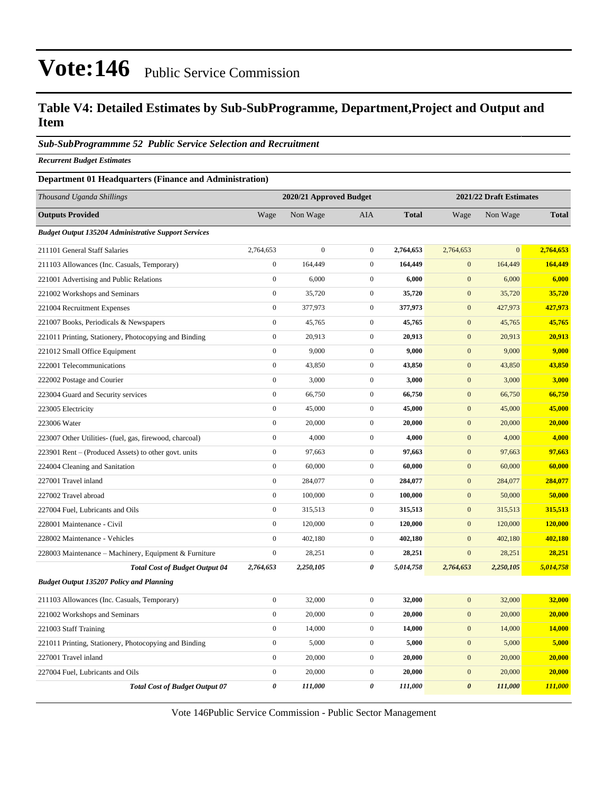### **Table V4: Detailed Estimates by Sub-SubProgramme, Department,Project and Output and Item**

#### *Sub-SubProgrammme 52 Public Service Selection and Recruitment*

*Recurrent Budget Estimates*

#### **Department 01 Headquarters (Finance and Administration)**

| Thousand Uganda Shillings                                   |                  | 2020/21 Approved Budget |                  |              |                       | 2021/22 Draft Estimates |              |
|-------------------------------------------------------------|------------------|-------------------------|------------------|--------------|-----------------------|-------------------------|--------------|
| <b>Outputs Provided</b>                                     | Wage             | Non Wage                | AIA              | <b>Total</b> | Wage                  | Non Wage                | <b>Total</b> |
| <b>Budget Output 135204 Administrative Support Services</b> |                  |                         |                  |              |                       |                         |              |
| 211101 General Staff Salaries                               | 2,764,653        | $\theta$                | $\boldsymbol{0}$ | 2,764,653    | 2,764,653             | $\Omega$                | 2,764,653    |
| 211103 Allowances (Inc. Casuals, Temporary)                 | $\overline{0}$   | 164,449                 | $\mathbf{0}$     | 164,449      | $\overline{0}$        | 164,449                 | 164,449      |
| 221001 Advertising and Public Relations                     | $\boldsymbol{0}$ | 6,000                   | $\boldsymbol{0}$ | 6,000        | $\boldsymbol{0}$      | 6,000                   | 6,000        |
| 221002 Workshops and Seminars                               | $\overline{0}$   | 35,720                  | $\mathbf{0}$     | 35,720       | $\mathbf{0}$          | 35,720                  | 35,720       |
| 221004 Recruitment Expenses                                 | $\boldsymbol{0}$ | 377,973                 | $\boldsymbol{0}$ | 377,973      | $\boldsymbol{0}$      | 427,973                 | 427,973      |
| 221007 Books, Periodicals & Newspapers                      | $\overline{0}$   | 45,765                  | $\boldsymbol{0}$ | 45,765       | $\mathbf{0}$          | 45,765                  | 45,765       |
| 221011 Printing, Stationery, Photocopying and Binding       | $\boldsymbol{0}$ | 20,913                  | $\boldsymbol{0}$ | 20,913       | $\boldsymbol{0}$      | 20,913                  | 20,913       |
| 221012 Small Office Equipment                               | $\overline{0}$   | 9,000                   | $\boldsymbol{0}$ | 9,000        | $\mathbf{0}$          | 9,000                   | 9,000        |
| 222001 Telecommunications                                   | $\boldsymbol{0}$ | 43,850                  | $\boldsymbol{0}$ | 43,850       | $\mathbf{0}$          | 43,850                  | 43,850       |
| 222002 Postage and Courier                                  | $\overline{0}$   | 3,000                   | $\boldsymbol{0}$ | 3,000        | $\mathbf{0}$          | 3,000                   | 3,000        |
| 223004 Guard and Security services                          | $\boldsymbol{0}$ | 66,750                  | $\boldsymbol{0}$ | 66,750       | $\mathbf{0}$          | 66,750                  | 66,750       |
| 223005 Electricity                                          | $\overline{0}$   | 45,000                  | $\mathbf{0}$     | 45,000       | $\mathbf{0}$          | 45,000                  | 45,000       |
| 223006 Water                                                | $\boldsymbol{0}$ | 20,000                  | $\boldsymbol{0}$ | 20,000       | $\mathbf{0}$          | 20,000                  | 20,000       |
| 223007 Other Utilities- (fuel, gas, firewood, charcoal)     | $\boldsymbol{0}$ | 4,000                   | $\boldsymbol{0}$ | 4,000        | $\boldsymbol{0}$      | 4,000                   | 4,000        |
| 223901 Rent – (Produced Assets) to other govt. units        | $\overline{0}$   | 97,663                  | $\boldsymbol{0}$ | 97,663       | $\mathbf{0}$          | 97,663                  | 97,663       |
| 224004 Cleaning and Sanitation                              | $\boldsymbol{0}$ | 60,000                  | $\boldsymbol{0}$ | 60,000       | $\boldsymbol{0}$      | 60,000                  | 60,000       |
| 227001 Travel inland                                        | $\overline{0}$   | 284,077                 | $\mathbf{0}$     | 284,077      | $\mathbf{0}$          | 284,077                 | 284,077      |
| 227002 Travel abroad                                        | $\boldsymbol{0}$ | 100,000                 | $\boldsymbol{0}$ | 100,000      | $\mathbf{0}$          | 50,000                  | 50,000       |
| 227004 Fuel, Lubricants and Oils                            | $\overline{0}$   | 315,513                 | $\mathbf{0}$     | 315,513      | $\overline{0}$        | 315,513                 | 315,513      |
| 228001 Maintenance - Civil                                  | $\boldsymbol{0}$ | 120,000                 | $\boldsymbol{0}$ | 120,000      | $\mathbf{0}$          | 120,000                 | 120,000      |
| 228002 Maintenance - Vehicles                               | $\overline{0}$   | 402,180                 | $\boldsymbol{0}$ | 402,180      | $\mathbf{0}$          | 402,180                 | 402,180      |
| 228003 Maintenance - Machinery, Equipment & Furniture       | $\boldsymbol{0}$ | 28,251                  | $\boldsymbol{0}$ | 28,251       | $\mathbf{0}$          | 28,251                  | 28,251       |
| <b>Total Cost of Budget Output 04</b>                       | 2,764,653        | 2,250,105               | 0                | 5,014,758    | 2,764,653             | 2,250,105               | 5,014,758    |
| <b>Budget Output 135207 Policy and Planning</b>             |                  |                         |                  |              |                       |                         |              |
| 211103 Allowances (Inc. Casuals, Temporary)                 | $\boldsymbol{0}$ | 32,000                  | $\boldsymbol{0}$ | 32,000       | $\mathbf{0}$          | 32,000                  | 32,000       |
| 221002 Workshops and Seminars                               | $\boldsymbol{0}$ | 20,000                  | $\boldsymbol{0}$ | 20,000       | $\mathbf{0}$          | 20,000                  | 20,000       |
| 221003 Staff Training                                       | $\boldsymbol{0}$ | 14,000                  | $\boldsymbol{0}$ | 14,000       | $\mathbf{0}$          | 14,000                  | 14,000       |
| 221011 Printing, Stationery, Photocopying and Binding       | $\overline{0}$   | 5,000                   | $\mathbf{0}$     | 5,000        | $\mathbf{0}$          | 5,000                   | 5,000        |
| 227001 Travel inland                                        | $\boldsymbol{0}$ | 20,000                  | $\mathbf{0}$     | 20,000       | $\mathbf{0}$          | 20,000                  | 20,000       |
| 227004 Fuel, Lubricants and Oils                            | $\boldsymbol{0}$ | 20,000                  | $\boldsymbol{0}$ | 20,000       | $\boldsymbol{0}$      | 20,000                  | 20,000       |
| <b>Total Cost of Budget Output 07</b>                       | 0                | 111,000                 | 0                | 111,000      | $\boldsymbol{\theta}$ | 111,000                 | 111,000      |

Vote 146Public Service Commission - Public Sector Management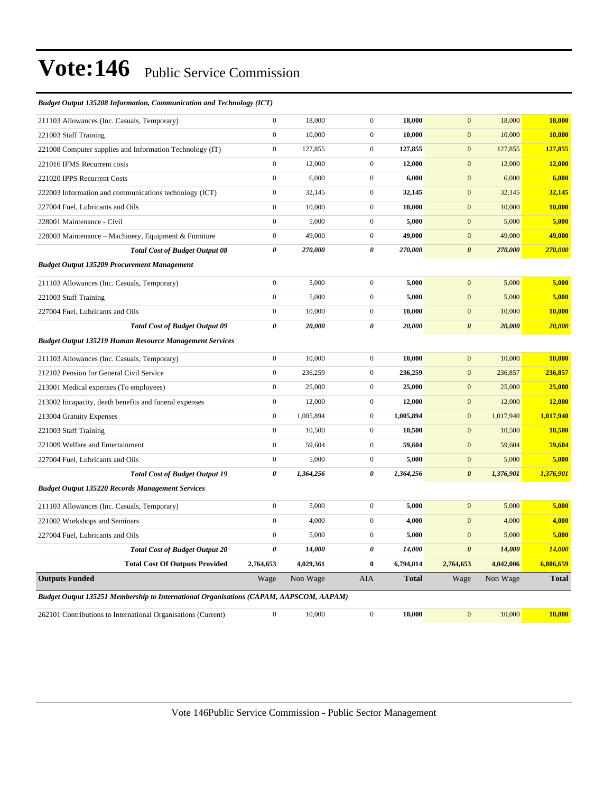#### *Budget Output 135208 Information, Communication and Technology (ICT)*

| 211103 Allowances (Inc. Casuals, Temporary)                                                   | $\boldsymbol{0}$      | 18,000    | $\boldsymbol{0}$ | 18,000       | $\mathbf{0}$          | 18,000    | 18,000       |
|-----------------------------------------------------------------------------------------------|-----------------------|-----------|------------------|--------------|-----------------------|-----------|--------------|
| 221003 Staff Training                                                                         | $\mathbf{0}$          | 10,000    | $\boldsymbol{0}$ | 10,000       | $\mathbf{0}$          | 10,000    | 10,000       |
| 221008 Computer supplies and Information Technology (IT)                                      | $\boldsymbol{0}$      | 127,855   | $\boldsymbol{0}$ | 127,855      | $\mathbf{0}$          | 127,855   | 127,855      |
| 221016 IFMS Recurrent costs                                                                   | $\boldsymbol{0}$      | 12,000    | $\boldsymbol{0}$ | 12,000       | $\boldsymbol{0}$      | 12,000    | 12,000       |
| 221020 IPPS Recurrent Costs                                                                   | $\boldsymbol{0}$      | 6,000     | $\boldsymbol{0}$ | 6,000        | $\mathbf{0}$          | 6,000     | 6,000        |
| 222003 Information and communications technology (ICT)                                        | $\boldsymbol{0}$      | 32,145    | $\boldsymbol{0}$ | 32,145       | $\boldsymbol{0}$      | 32,145    | 32,145       |
| 227004 Fuel, Lubricants and Oils                                                              | $\boldsymbol{0}$      | 10,000    | $\boldsymbol{0}$ | 10,000       | $\mathbf{0}$          | 10,000    | 10,000       |
| 228001 Maintenance - Civil                                                                    | $\boldsymbol{0}$      | 5,000     | $\overline{0}$   | 5,000        | $\boldsymbol{0}$      | 5,000     | 5,000        |
| 228003 Maintenance – Machinery, Equipment & Furniture                                         | $\boldsymbol{0}$      | 49,000    | $\boldsymbol{0}$ | 49,000       | $\boldsymbol{0}$      | 49,000    | 49,000       |
| <b>Total Cost of Budget Output 08</b>                                                         | $\boldsymbol{\theta}$ | 270,000   | 0                | 270,000      | $\pmb{\theta}$        | 270,000   | 270,000      |
| <b>Budget Output 135209 Procurement Management</b>                                            |                       |           |                  |              |                       |           |              |
| 211103 Allowances (Inc. Casuals, Temporary)                                                   | $\mathbf{0}$          | 5,000     | $\overline{0}$   | 5,000        | $\overline{0}$        | 5,000     | 5,000        |
| 221003 Staff Training                                                                         | $\boldsymbol{0}$      | 5,000     | $\overline{0}$   | 5,000        | $\mathbf{0}$          | 5,000     | 5,000        |
| 227004 Fuel, Lubricants and Oils                                                              | $\mathbf{0}$          | 10,000    | $\overline{0}$   | 10,000       | $\mathbf{0}$          | 10,000    | 10,000       |
| <b>Total Cost of Budget Output 09</b>                                                         | $\boldsymbol{\theta}$ | 20,000    | 0                | 20,000       | $\boldsymbol{\theta}$ | 20,000    | 20,000       |
| <b>Budget Output 135219 Human Resource Management Services</b>                                |                       |           |                  |              |                       |           |              |
| 211103 Allowances (Inc. Casuals, Temporary)                                                   | $\boldsymbol{0}$      | 10,000    | $\boldsymbol{0}$ | 10,000       | $\mathbf{0}$          | 10,000    | 10,000       |
| 212102 Pension for General Civil Service                                                      | $\boldsymbol{0}$      | 236,259   | $\boldsymbol{0}$ | 236,259      | $\boldsymbol{0}$      | 236,857   | 236,857      |
| 213001 Medical expenses (To employees)                                                        | $\boldsymbol{0}$      | 25,000    | $\boldsymbol{0}$ | 25,000       | $\boldsymbol{0}$      | 25,000    | 25,000       |
| 213002 Incapacity, death benefits and funeral expenses                                        | $\boldsymbol{0}$      | 12,000    | $\boldsymbol{0}$ | 12,000       | $\boldsymbol{0}$      | 12,000    | 12,000       |
| 213004 Gratuity Expenses                                                                      | $\boldsymbol{0}$      | 1,005,894 | $\boldsymbol{0}$ | 1,005,894    | $\boldsymbol{0}$      | 1,017,940 | 1,017,940    |
| 221003 Staff Training                                                                         | $\boldsymbol{0}$      | 10,500    | $\boldsymbol{0}$ | 10,500       | $\boldsymbol{0}$      | 10,500    | 10,500       |
| 221009 Welfare and Entertainment                                                              | $\boldsymbol{0}$      | 59,604    | $\overline{0}$   | 59,604       | $\mathbf{0}$          | 59,604    | 59,604       |
| 227004 Fuel, Lubricants and Oils                                                              | $\boldsymbol{0}$      | 5,000     | $\mathbf{0}$     | 5,000        | $\boldsymbol{0}$      | 5,000     | 5,000        |
| <b>Total Cost of Budget Output 19</b>                                                         | $\boldsymbol{\theta}$ | 1,364,256 | 0                | 1,364,256    | $\boldsymbol{\theta}$ | 1,376,901 | 1,376,901    |
| <b>Budget Output 135220 Records Management Services</b>                                       |                       |           |                  |              |                       |           |              |
| 211103 Allowances (Inc. Casuals, Temporary)                                                   | $\boldsymbol{0}$      | 5,000     | $\boldsymbol{0}$ | 5,000        | $\mathbf{0}$          | 5,000     | 5,000        |
| 221002 Workshops and Seminars                                                                 | $\boldsymbol{0}$      | 4,000     | $\boldsymbol{0}$ | 4,000        | $\mathbf{0}$          | 4,000     | 4,000        |
| 227004 Fuel, Lubricants and Oils                                                              | $\boldsymbol{0}$      | 5,000     | $\boldsymbol{0}$ | 5,000        | $\boldsymbol{0}$      | 5,000     | 5,000        |
| <b>Total Cost of Budget Output 20</b>                                                         | $\boldsymbol{\theta}$ | 14,000    | 0                | 14,000       | $\boldsymbol{\theta}$ | 14,000    | 14,000       |
| <b>Total Cost Of Outputs Provided</b>                                                         | 2,764,653             | 4,029,361 | $\bf{0}$         | 6,794,014    | 2,764,653             | 4,042,006 | 6,806,659    |
| <b>Outputs Funded</b>                                                                         | Wage                  | Non Wage  | AIA              | <b>Total</b> | Wage                  | Non Wage  | <b>Total</b> |
| <b>Budget Output 135251 Membership to International Organisations (CAPAM, AAPSCOM, AAPAM)</b> |                       |           |                  |              |                       |           |              |
| 262101 Contributions to International Organisations (Current)                                 | $\boldsymbol{0}$      | 10,000    | $\mathbf{0}$     | 10,000       | $\mathbf{0}$          | 10,000    | 10,000       |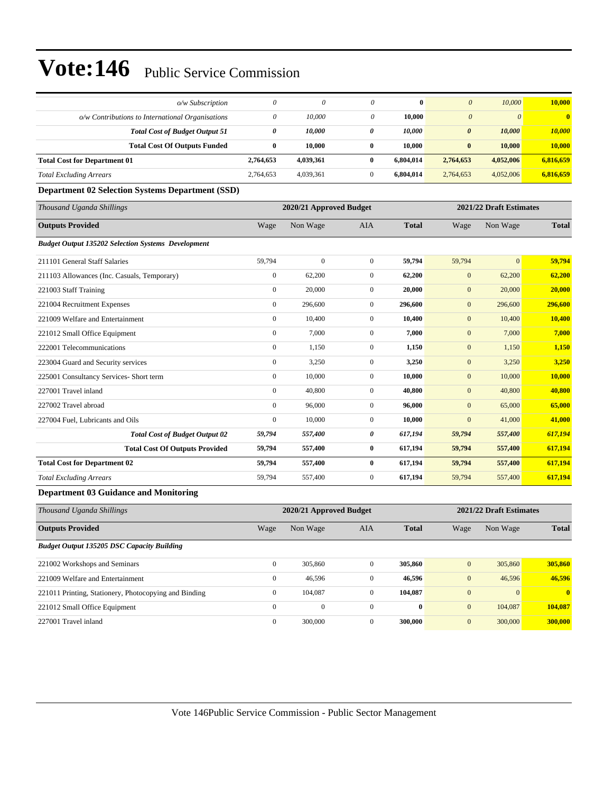| o/w Subscription                                          | $\theta$         | 0                       | 0                | $\bf{0}$     | $\boldsymbol{0}$      | 10,000                  | 10,000                  |
|-----------------------------------------------------------|------------------|-------------------------|------------------|--------------|-----------------------|-------------------------|-------------------------|
| $o/w$ Contributions to International Organisations        | $\theta$         | 10,000                  | 0                | 10,000       | $\boldsymbol{0}$      | $\theta$                | $\overline{\mathbf{0}}$ |
| <b>Total Cost of Budget Output 51</b>                     | 0                | 10,000                  | 0                | 10,000       | $\boldsymbol{\theta}$ | 10,000                  | 10,000                  |
| <b>Total Cost Of Outputs Funded</b>                       | $\bf{0}$         | 10,000                  | $\bf{0}$         | 10,000       | $\bf{0}$              | 10,000                  | 10,000                  |
| <b>Total Cost for Department 01</b>                       | 2,764,653        | 4,039,361               | $\bf{0}$         | 6,804,014    | 2,764,653             | 4,052,006               | 6,816,659               |
| <b>Total Excluding Arrears</b>                            | 2,764,653        | 4,039,361               | $\mathbf{0}$     | 6,804,014    | 2,764,653             | 4,052,006               | 6,816,659               |
| <b>Department 02 Selection Systems Department (SSD)</b>   |                  |                         |                  |              |                       |                         |                         |
| Thousand Uganda Shillings                                 |                  | 2020/21 Approved Budget |                  |              |                       | 2021/22 Draft Estimates |                         |
| <b>Outputs Provided</b>                                   | Wage             | Non Wage                | AIA              | <b>Total</b> | Wage                  | Non Wage                | <b>Total</b>            |
| <b>Budget Output 135202 Selection Systems Development</b> |                  |                         |                  |              |                       |                         |                         |
| 211101 General Staff Salaries                             | 59,794           | $\mathbf{0}$            | $\mathbf{0}$     | 59,794       | 59,794                | $\mathbf{0}$            | 59,794                  |
| 211103 Allowances (Inc. Casuals, Temporary)               | $\boldsymbol{0}$ | 62,200                  | $\mathbf{0}$     | 62,200       | $\boldsymbol{0}$      | 62,200                  | 62,200                  |
| 221003 Staff Training                                     | $\boldsymbol{0}$ | 20,000                  | $\mathbf{0}$     | 20,000       | $\boldsymbol{0}$      | 20,000                  | 20,000                  |
| 221004 Recruitment Expenses                               | $\boldsymbol{0}$ | 296,600                 | $\mathbf{0}$     | 296,600      | $\mathbf{0}$          | 296,600                 | 296,600                 |
| 221009 Welfare and Entertainment                          | $\boldsymbol{0}$ | 10,400                  | $\mathbf{0}$     | 10,400       | $\mathbf{0}$          | 10,400                  | 10,400                  |
| 221012 Small Office Equipment                             | $\boldsymbol{0}$ | 7,000                   | $\mathbf{0}$     | 7,000        | $\mathbf{0}$          | 7,000                   | 7,000                   |
| 222001 Telecommunications                                 | $\boldsymbol{0}$ | 1,150                   | $\mathbf{0}$     | 1,150        | $\boldsymbol{0}$      | 1,150                   | 1,150                   |
| 223004 Guard and Security services                        | $\boldsymbol{0}$ | 3,250                   | $\mathbf{0}$     | 3,250        | $\mathbf{0}$          | 3,250                   | 3,250                   |
| 225001 Consultancy Services- Short term                   | $\boldsymbol{0}$ | 10,000                  | $\mathbf{0}$     | 10,000       | $\mathbf{0}$          | 10,000                  | 10,000                  |
| 227001 Travel inland                                      | $\mathbf{0}$     | 40,800                  | $\mathbf{0}$     | 40,800       | $\mathbf{0}$          | 40,800                  | 40,800                  |
| 227002 Travel abroad                                      | $\boldsymbol{0}$ | 96,000                  | $\mathbf{0}$     | 96,000       | $\mathbf{0}$          | 65,000                  | 65,000                  |
| 227004 Fuel, Lubricants and Oils                          | $\boldsymbol{0}$ | 10,000                  | $\mathbf{0}$     | 10,000       | $\boldsymbol{0}$      | 41,000                  | 41,000                  |
| <b>Total Cost of Budget Output 02</b>                     | 59,794           | 557,400                 | 0                | 617,194      | 59,794                | 557,400                 | 617,194                 |
| <b>Total Cost Of Outputs Provided</b>                     | 59,794           | 557,400                 | $\bf{0}$         | 617,194      | 59,794                | 557,400                 | 617,194                 |
| <b>Total Cost for Department 02</b>                       | 59,794           | 557,400                 | $\bf{0}$         | 617,194      | 59,794                | 557,400                 | 617,194                 |
| <b>Total Excluding Arrears</b>                            | 59,794           | 557,400                 | $\boldsymbol{0}$ | 617,194      | 59,794                | 557,400                 | 617,194                 |
| <b>Department 03 Guidance and Monitoring</b>              |                  |                         |                  |              |                       |                         |                         |
| Thousand Uganda Shillings                                 |                  | 2020/21 Approved Budget |                  |              |                       | 2021/22 Draft Estimates |                         |
| <b>Outputs Provided</b>                                   | Wage             | Non Wage                | AIA              | <b>Total</b> | Wage                  | Non Wage                | <b>Total</b>            |
| <b>Budget Output 135205 DSC Capacity Building</b>         |                  |                         |                  |              |                       |                         |                         |
| 221002 Workshops and Seminars                             | $\mathbf{0}$     | 305,860                 | $\mathbf{0}$     | 305,860      | $\boldsymbol{0}$      | 305,860                 | 305,860                 |
| 221009 Welfare and Entertainment                          | $\boldsymbol{0}$ | 46,596                  | $\boldsymbol{0}$ | 46,596       | $\mathbf{0}$          | 46,596                  | 46,596                  |
| 221011 Printing, Stationery, Photocopying and Binding     | $\mathbf{0}$     | 104,087                 | $\mathbf{0}$     | 104,087      | $\boldsymbol{0}$      | $\mathbf{0}$            | $\bf{0}$                |
| 221012 Small Office Equipment                             | $\boldsymbol{0}$ | $\boldsymbol{0}$        | $\boldsymbol{0}$ | $\bf{0}$     | $\bf{0}$              | 104,087                 | 104,087                 |
| 227001 Travel inland                                      | $\overline{0}$   | 300,000                 | $\mathbf{0}$     | 300,000      | $\boldsymbol{0}$      | 300,000                 | 300,000                 |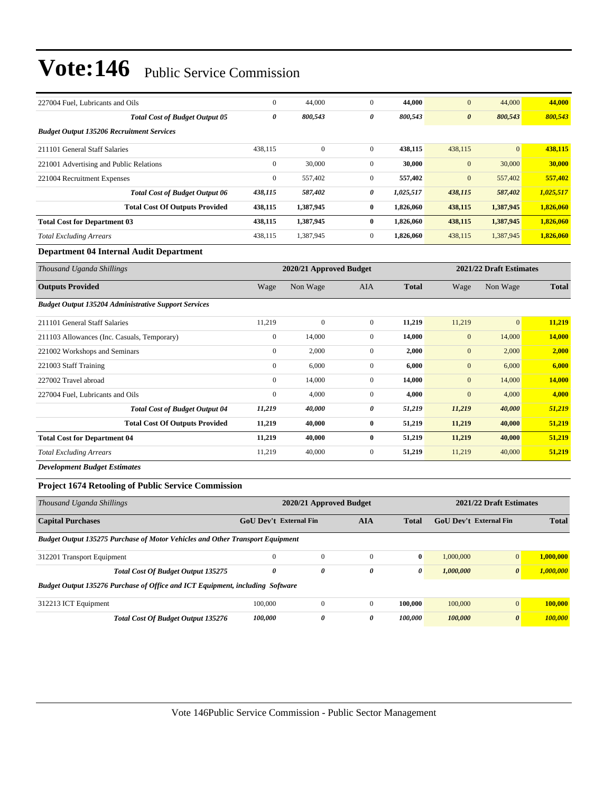| 227004 Fuel, Lubricants and Oils                 |                                       | $\mathbf{0}$ | 44,000       | $\mathbf{0}$   | 44,000    | $\mathbf{0}$          | 44,000          | 44,000    |
|--------------------------------------------------|---------------------------------------|--------------|--------------|----------------|-----------|-----------------------|-----------------|-----------|
|                                                  | <b>Total Cost of Budget Output 05</b> | 0            | 800,543      | 0              | 800,543   | $\boldsymbol{\theta}$ | 800,543         | 800,543   |
| <b>Budget Output 135206 Recruitment Services</b> |                                       |              |              |                |           |                       |                 |           |
| 211101 General Staff Salaries                    |                                       | 438,115      | $\mathbf{0}$ | $\overline{0}$ | 438,115   | 438,115               | $\vert 0 \vert$ | 438,115   |
| 221001 Advertising and Public Relations          |                                       | $\mathbf{0}$ | 30,000       | $\mathbf{0}$   | 30,000    | $\mathbf{0}$          | 30,000          | 30,000    |
| 221004 Recruitment Expenses                      |                                       | $\mathbf{0}$ | 557,402      | $\mathbf{0}$   | 557,402   | $\mathbf{0}$          | 557,402         | 557,402   |
|                                                  | <b>Total Cost of Budget Output 06</b> | 438,115      | 587,402      | 0              | 1,025,517 | 438,115               | 587,402         | 1,025,517 |
|                                                  | <b>Total Cost Of Outputs Provided</b> | 438,115      | 1,387,945    | $\bf{0}$       | 1,826,060 | 438,115               | 1,387,945       | 1,826,060 |
| <b>Total Cost for Department 03</b>              |                                       | 438,115      | 1,387,945    | $\mathbf{0}$   | 1,826,060 | 438,115               | 1,387,945       | 1,826,060 |
| <b>Total Excluding Arrears</b>                   |                                       | 438,115      | 1,387,945    | $\overline{0}$ | 1,826,060 | 438,115               | 1,387,945       | 1,826,060 |
| Department 04 Internal Audit Department          |                                       |              |              |                |           |                       |                 |           |

| Thousand Uganda Shillings                                   |                | 2020/21 Approved Budget |                |              | 2021/22 Draft Estimates |              |              |
|-------------------------------------------------------------|----------------|-------------------------|----------------|--------------|-------------------------|--------------|--------------|
| <b>Outputs Provided</b>                                     | Wage           | Non Wage                | <b>AIA</b>     | <b>Total</b> | Wage                    | Non Wage     | <b>Total</b> |
| <b>Budget Output 135204 Administrative Support Services</b> |                |                         |                |              |                         |              |              |
| 211101 General Staff Salaries                               | 11,219         | $\boldsymbol{0}$        | $\overline{0}$ | 11,219       | 11,219                  | $\mathbf{0}$ | 11,219       |
| 211103 Allowances (Inc. Casuals, Temporary)                 | $\bf{0}$       | 14,000                  | $\mathbf{0}$   | 14,000       | $\mathbf{0}$            | 14,000       | 14,000       |
| 221002 Workshops and Seminars                               | $\mathbf{0}$   | 2,000                   | $\mathbf{0}$   | 2,000        | $\mathbf{0}$            | 2,000        | 2,000        |
| 221003 Staff Training                                       | $\overline{0}$ | 6,000                   | $\mathbf{0}$   | 6,000        | $\mathbf{0}$            | 6,000        | 6,000        |
| 227002 Travel abroad                                        | $\overline{0}$ | 14,000                  | $\overline{0}$ | 14,000       | $\mathbf{0}$            | 14,000       | 14,000       |
| 227004 Fuel, Lubricants and Oils                            | $\overline{0}$ | 4,000                   | $\overline{0}$ | 4,000        | $\mathbf{0}$            | 4,000        | 4,000        |
| <b>Total Cost of Budget Output 04</b>                       | 11,219         | 40,000                  | 0              | 51,219       | 11,219                  | 40,000       | 51,219       |
| <b>Total Cost Of Outputs Provided</b>                       | 11,219         | 40,000                  | $\bf{0}$       | 51,219       | 11,219                  | 40,000       | 51,219       |
| <b>Total Cost for Department 04</b>                         | 11,219         | 40,000                  | $\bf{0}$       | 51,219       | 11,219                  | 40,000       | 51,219       |
| <b>Total Excluding Arrears</b>                              | 11,219         | 40,000                  | 0              | 51,219       | 11,219                  | 40,000       | 51,219       |
| <b>Development Budget Estimates</b>                         |                |                         |                |              |                         |              |              |

### **Project 1674 Retooling of Public Service Commission**

| Thousand Uganda Shillings                                                            |                               | 2020/21 Approved Budget |            |              | 2021/22 Draft Estimates |                       |              |  |
|--------------------------------------------------------------------------------------|-------------------------------|-------------------------|------------|--------------|-------------------------|-----------------------|--------------|--|
| <b>Capital Purchases</b>                                                             | <b>GoU</b> Dev't External Fin |                         | <b>AIA</b> | <b>Total</b> | GoU Dev't External Fin  |                       | <b>Total</b> |  |
| <b>Budget Output 135275 Purchase of Motor Vehicles and Other Transport Equipment</b> |                               |                         |            |              |                         |                       |              |  |
| 312201 Transport Equipment                                                           | $\Omega$                      | $\mathbf{0}$            | $\Omega$   | $\bf{0}$     | 1,000,000               | $\overline{0}$        | 1.000.000    |  |
| <b>Total Cost Of Budget Output 135275</b>                                            | 0                             | $\boldsymbol{\theta}$   | 0          | 0            | 1,000,000               | $\boldsymbol{\theta}$ | 1,000,000    |  |
| Budget Output 135276 Purchase of Office and ICT Equipment, including Software        |                               |                         |            |              |                         |                       |              |  |
| 312213 ICT Equipment                                                                 | 100,000                       | $\overline{0}$          | $\Omega$   | 100.000      | 100,000                 | $\overline{0}$        | 100,000      |  |
| <b>Total Cost Of Budget Output 135276</b>                                            | 100,000                       | $\boldsymbol{\theta}$   | 0          | 100.000      | 100,000                 | $\boldsymbol{\theta}$ | 100,000      |  |